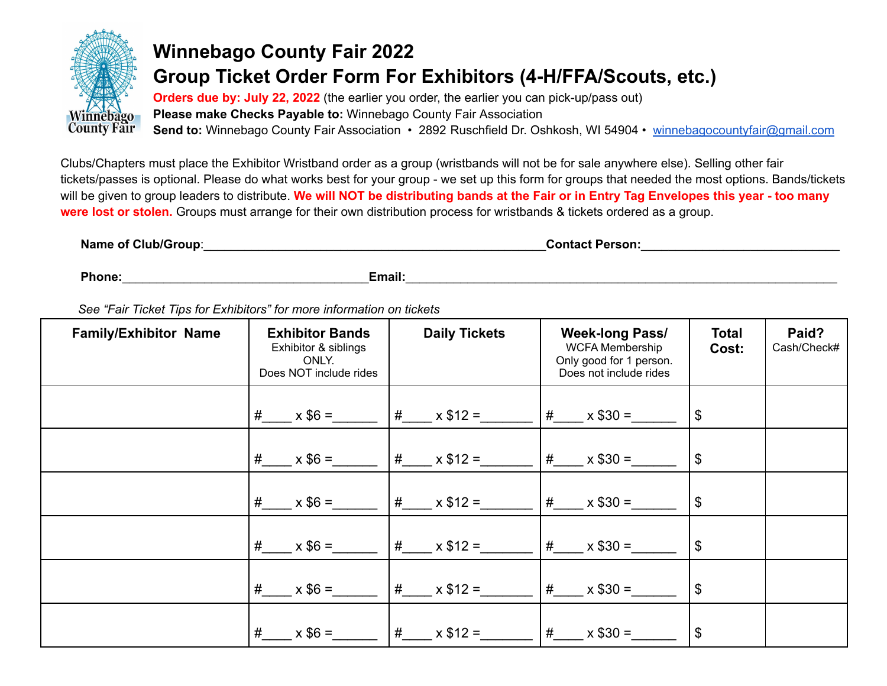

## **Winnebago County Fair 2022 Group Ticket Order Form For Exhibitors (4-H/FFA/Scouts, etc.)**

**Orders due by: July 22, 2022** (the earlier you order, the earlier you can pick-up/pass out) **Please make Checks Payable to:** Winnebago County Fair Association **Send to:** Winnebago County Fair Association • 2892 Ruschfield Dr. Oshkosh, WI 54904 • [winnebagocountyfair@gmail.com](mailto:winnebagocountyfair@gmail.com)

Clubs/Chapters must place the Exhibitor Wristband order as a group (wristbands will not be for sale anywhere else). Selling other fair tickets/passes is optional. Please do what works best for your group - we set up this form for groups that needed the most options. Bands/tickets will be given to group leaders to distribute. We will NOT be distributing bands at the Fair or in Entry Tag Envelopes this year - too many **were lost or stolen.** Groups must arrange for their own distribution process for wristbands & tickets ordered as a group.

| <b>Name of Club/Group:</b> | <b>Contact Person:</b> |
|----------------------------|------------------------|
|----------------------------|------------------------|

**Phone:**\_\_\_\_\_\_\_\_\_\_\_\_\_\_\_\_\_\_\_\_\_\_\_\_\_\_\_\_\_\_\_\_\_\_\_\_**Email:**\_\_\_\_\_\_\_\_\_\_\_\_\_\_\_\_\_\_\_\_\_\_\_\_\_\_\_\_\_\_\_\_\_\_\_\_\_\_\_\_\_\_\_\_\_\_\_\_\_\_\_\_\_\_\_\_\_\_\_\_\_\_\_

*See "Fair Ticket Tips for Exhibitors" for more information on tickets*

| <b>Family/Exhibitor Name</b> | <b>Exhibitor Bands</b><br>Exhibitor & siblings<br>ONLY.<br>Does NOT include rides | <b>Daily Tickets</b>                 | <b>Week-long Pass/</b><br><b>WCFA Membership</b><br>Only good for 1 person.<br>Does not include rides | <b>Total</b><br>Cost:      | Paid?<br>Cash/Check# |
|------------------------------|-----------------------------------------------------------------------------------|--------------------------------------|-------------------------------------------------------------------------------------------------------|----------------------------|----------------------|
|                              | $\frac{\#}{\#}$ x \$6 =                                                           |                                      | $\#$ x \$30 =                                                                                         | $\mathfrak{F}$             |                      |
|                              | # $x $6 =$                                                                        | $\#$ x \$12 =                        | $\sharp$ x \$30 =                                                                                     | $\boldsymbol{\mathcal{F}}$ |                      |
|                              | $\frac{\#}{\#}$ x \$6 =                                                           | $\# \times \$12 =$                   | $\# \times \$30 =$                                                                                    | $\boldsymbol{\mathcal{F}}$ |                      |
|                              | # $x $6 =$                                                                        | $\#$ x \$12 =                        | $\# \times \$30 =$                                                                                    | \$                         |                      |
|                              | # $x $6 =$                                                                        | $\# \times \$12 =$                   | $\# \times $30 =$                                                                                     | \$                         |                      |
|                              |                                                                                   | # $x $6 =$  # $x $12 =$  # $x $30 =$ |                                                                                                       | \$                         |                      |